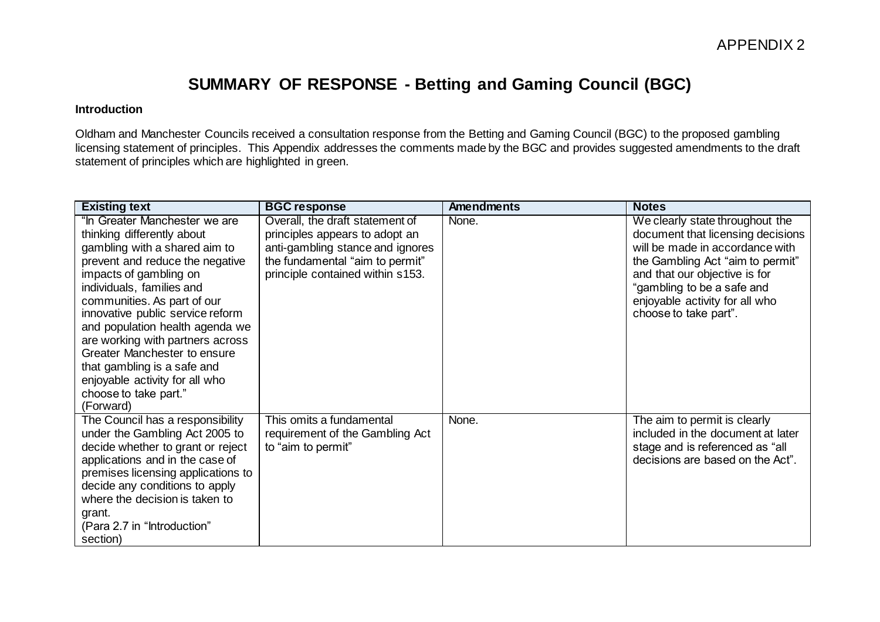## **SUMMARY OF RESPONSE - Betting and Gaming Council (BGC)**

## **Introduction**

Oldham and Manchester Councils received a consultation response from the Betting and Gaming Council (BGC) to the proposed gambling licensing statement of principles. This Appendix addresses the comments made by the BGC and provides suggested amendments to the draft statement of principles which are highlighted in green.

| <b>Existing text</b>                                                                                                                                                                                                                                                                                                                                                                                                                                                    | <b>BGC response</b>                                                                                                                                                          | <b>Amendments</b> | <b>Notes</b>                                                                                                                                                                                                                                                          |
|-------------------------------------------------------------------------------------------------------------------------------------------------------------------------------------------------------------------------------------------------------------------------------------------------------------------------------------------------------------------------------------------------------------------------------------------------------------------------|------------------------------------------------------------------------------------------------------------------------------------------------------------------------------|-------------------|-----------------------------------------------------------------------------------------------------------------------------------------------------------------------------------------------------------------------------------------------------------------------|
| "In Greater Manchester we are<br>thinking differently about<br>gambling with a shared aim to<br>prevent and reduce the negative<br>impacts of gambling on<br>individuals, families and<br>communities. As part of our<br>innovative public service reform<br>and population health agenda we<br>are working with partners across<br>Greater Manchester to ensure<br>that gambling is a safe and<br>enjoyable activity for all who<br>choose to take part."<br>(Forward) | Overall, the draft statement of<br>principles appears to adopt an<br>anti-gambling stance and ignores<br>the fundamental "aim to permit"<br>principle contained within s153. | None.             | We clearly state throughout the<br>document that licensing decisions<br>will be made in accordance with<br>the Gambling Act "aim to permit"<br>and that our objective is for<br>"gambling to be a safe and<br>enjoyable activity for all who<br>choose to take part". |
| The Council has a responsibility<br>under the Gambling Act 2005 to<br>decide whether to grant or reject<br>applications and in the case of<br>premises licensing applications to<br>decide any conditions to apply<br>where the decision is taken to<br>grant.<br>(Para 2.7 in "Introduction"<br>section)                                                                                                                                                               | This omits a fundamental<br>requirement of the Gambling Act<br>to "aim to permit"                                                                                            | None.             | The aim to permit is clearly<br>included in the document at later<br>stage and is referenced as "all<br>decisions are based on the Act".                                                                                                                              |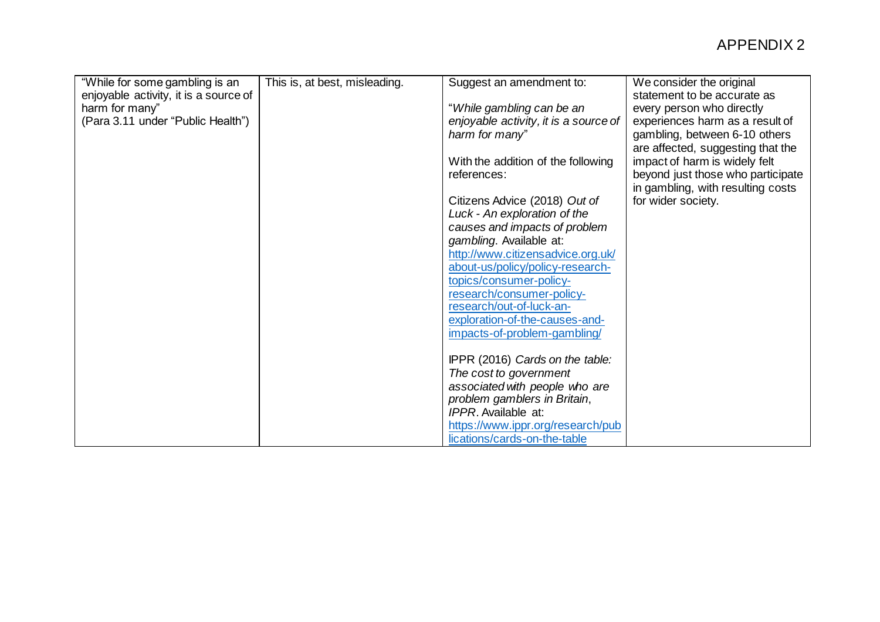| "While for some gambling is an        | This is, at best, misleading. | Suggest an amendment to:              | We consider the original          |
|---------------------------------------|-------------------------------|---------------------------------------|-----------------------------------|
| enjoyable activity, it is a source of |                               |                                       | statement to be accurate as       |
| harm for many"                        |                               | "While gambling can be an             | every person who directly         |
| (Para 3.11 under "Public Health")     |                               | enjoyable activity, it is a source of | experiences harm as a result of   |
|                                       |                               | harm for many"                        | gambling, between 6-10 others     |
|                                       |                               |                                       | are affected, suggesting that the |
|                                       |                               | With the addition of the following    | impact of harm is widely felt     |
|                                       |                               | references:                           | beyond just those who participate |
|                                       |                               |                                       | in gambling, with resulting costs |
|                                       |                               | Citizens Advice (2018) Out of         | for wider society.                |
|                                       |                               | Luck - An exploration of the          |                                   |
|                                       |                               | causes and impacts of problem         |                                   |
|                                       |                               | gambling. Available at:               |                                   |
|                                       |                               | http://www.citizensadvice.org.uk/     |                                   |
|                                       |                               | about-us/policy/policy-research-      |                                   |
|                                       |                               | topics/consumer-policy-               |                                   |
|                                       |                               | research/consumer-policy-             |                                   |
|                                       |                               | research/out-of-luck-an-              |                                   |
|                                       |                               | exploration-of-the-causes-and-        |                                   |
|                                       |                               | impacts-of-problem-gambling/          |                                   |
|                                       |                               | IPPR (2016) Cards on the table:       |                                   |
|                                       |                               | The cost to government                |                                   |
|                                       |                               | associated with people who are        |                                   |
|                                       |                               | problem gamblers in Britain,          |                                   |
|                                       |                               | IPPR. Available at:                   |                                   |
|                                       |                               | https://www.ippr.org/research/pub     |                                   |
|                                       |                               | lications/cards-on-the-table          |                                   |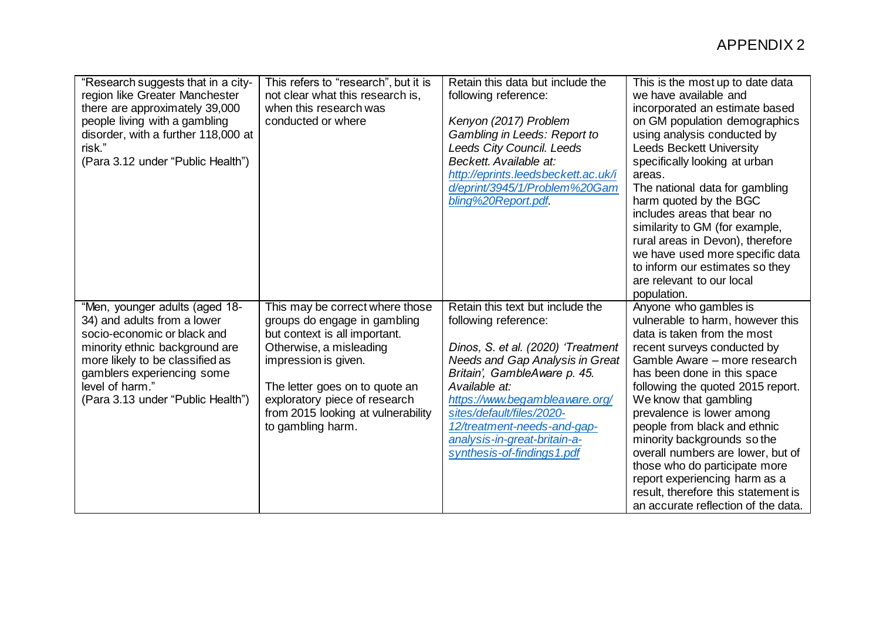| "Research suggests that in a city-<br>region like Greater Manchester<br>there are approximately 39,000<br>people living with a gambling<br>disorder, with a further 118,000 at<br>risk."<br>(Para 3.12 under "Public Health")                           | This refers to "research", but it is<br>not clear what this research is,<br>when this research was<br>conducted or where                                                                                                                                                          | Retain this data but include the<br>following reference:<br>Kenyon (2017) Problem<br>Gambling in Leeds: Report to<br>Leeds City Council. Leeds<br>Beckett. Available at:<br>http://eprints.leedsbeckett.ac.uk/i<br>d/eprint/3945/1/Problem%20Gam<br>bling%20Report.pdf.                                                                        | This is the most up to date data<br>we have available and<br>incorporated an estimate based<br>on GM population demographics<br>using analysis conducted by<br><b>Leeds Beckett University</b><br>specifically looking at urban<br>areas.<br>The national data for gambling<br>harm quoted by the BGC<br>includes areas that bear no<br>similarity to GM (for example,<br>rural areas in Devon), therefore<br>we have used more specific data<br>to inform our estimates so they<br>are relevant to our local<br>population.          |
|---------------------------------------------------------------------------------------------------------------------------------------------------------------------------------------------------------------------------------------------------------|-----------------------------------------------------------------------------------------------------------------------------------------------------------------------------------------------------------------------------------------------------------------------------------|------------------------------------------------------------------------------------------------------------------------------------------------------------------------------------------------------------------------------------------------------------------------------------------------------------------------------------------------|---------------------------------------------------------------------------------------------------------------------------------------------------------------------------------------------------------------------------------------------------------------------------------------------------------------------------------------------------------------------------------------------------------------------------------------------------------------------------------------------------------------------------------------|
| "Men, younger adults (aged 18-<br>34) and adults from a lower<br>socio-economic or black and<br>minority ethnic background are<br>more likely to be classified as<br>gamblers experiencing some<br>level of harm."<br>(Para 3.13 under "Public Health") | This may be correct where those<br>groups do engage in gambling<br>but context is all important.<br>Otherwise, a misleading<br>impression is given.<br>The letter goes on to quote an<br>exploratory piece of research<br>from 2015 looking at vulnerability<br>to gambling harm. | Retain this text but include the<br>following reference:<br>Dinos, S. et al. (2020) 'Treatment<br>Needs and Gap Analysis in Great<br>Britain', GambleAware p. 45.<br>Available at:<br>https://www.begambleaware.org/<br>sites/default/files/2020-<br>12/treatment-needs-and-gap-<br>analysis-in-great-britain-a-<br>synthesis-of-findings1.pdf | Anyone who gambles is<br>vulnerable to harm, however this<br>data is taken from the most<br>recent surveys conducted by<br>Gamble Aware - more research<br>has been done in this space<br>following the quoted 2015 report.<br>We know that gambling<br>prevalence is lower among<br>people from black and ethnic<br>minority backgrounds so the<br>overall numbers are lower, but of<br>those who do participate more<br>report experiencing harm as a<br>result, therefore this statement is<br>an accurate reflection of the data. |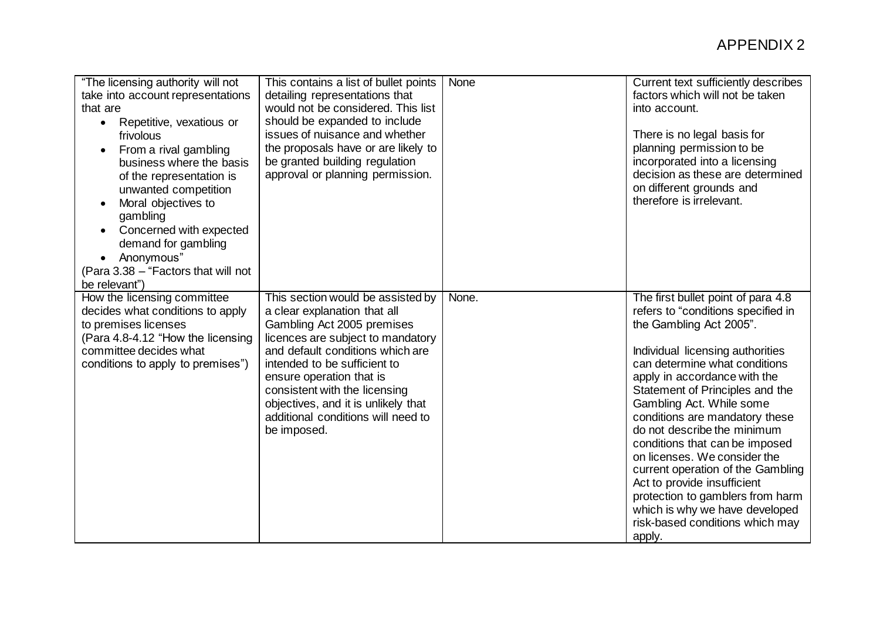| "The licensing authority will not<br>take into account representations<br>that are<br>Repetitive, vexatious or<br>$\bullet$<br>frivolous<br>From a rival gambling<br>business where the basis<br>of the representation is<br>unwanted competition<br>Moral objectives to<br>gambling<br>Concerned with expected<br>$\bullet$<br>demand for gambling<br>Anonymous"<br>$\bullet$<br>(Para 3.38 - "Factors that will not<br>be relevant") | This contains a list of bullet points<br>detailing representations that<br>would not be considered. This list<br>should be expanded to include<br>issues of nuisance and whether<br>the proposals have or are likely to<br>be granted building regulation<br>approval or planning permission.                                                                     | None  | Current text sufficiently describes<br>factors which will not be taken<br>into account.<br>There is no legal basis for<br>planning permission to be<br>incorporated into a licensing<br>decision as these are determined<br>on different grounds and<br>therefore is irrelevant.                                                                                                                                                                                                                                                                                                                  |
|----------------------------------------------------------------------------------------------------------------------------------------------------------------------------------------------------------------------------------------------------------------------------------------------------------------------------------------------------------------------------------------------------------------------------------------|-------------------------------------------------------------------------------------------------------------------------------------------------------------------------------------------------------------------------------------------------------------------------------------------------------------------------------------------------------------------|-------|---------------------------------------------------------------------------------------------------------------------------------------------------------------------------------------------------------------------------------------------------------------------------------------------------------------------------------------------------------------------------------------------------------------------------------------------------------------------------------------------------------------------------------------------------------------------------------------------------|
| How the licensing committee<br>decides what conditions to apply<br>to premises licenses<br>(Para 4.8-4.12 "How the licensing<br>committee decides what<br>conditions to apply to premises")                                                                                                                                                                                                                                            | This section would be assisted by<br>a clear explanation that all<br>Gambling Act 2005 premises<br>licences are subject to mandatory<br>and default conditions which are<br>intended to be sufficient to<br>ensure operation that is<br>consistent with the licensing<br>objectives, and it is unlikely that<br>additional conditions will need to<br>be imposed. | None. | The first bullet point of para 4.8<br>refers to "conditions specified in<br>the Gambling Act 2005".<br>Individual licensing authorities<br>can determine what conditions<br>apply in accordance with the<br>Statement of Principles and the<br>Gambling Act. While some<br>conditions are mandatory these<br>do not describe the minimum<br>conditions that can be imposed<br>on licenses. We consider the<br>current operation of the Gambling<br>Act to provide insufficient<br>protection to gamblers from harm<br>which is why we have developed<br>risk-based conditions which may<br>apply. |